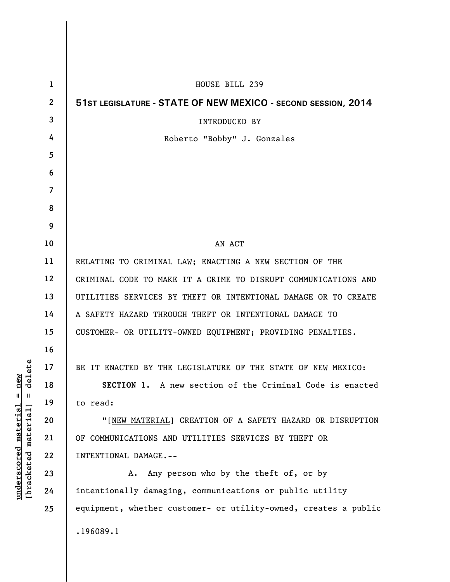| $\mathbf{1}$   | HOUSE BILL 239                                                  |
|----------------|-----------------------------------------------------------------|
| $\mathbf{2}$   | 51ST LEGISLATURE - STATE OF NEW MEXICO - SECOND SESSION, 2014   |
| 3              | <b>INTRODUCED BY</b>                                            |
| 4              | Roberto "Bobby" J. Gonzales                                     |
| 5              |                                                                 |
| 6              |                                                                 |
| $\overline{7}$ |                                                                 |
| 8              |                                                                 |
| 9              |                                                                 |
| 10             | AN ACT                                                          |
| 11             | RELATING TO CRIMINAL LAW; ENACTING A NEW SECTION OF THE         |
| 12             | CRIMINAL CODE TO MAKE IT A CRIME TO DISRUPT COMMUNICATIONS AND  |
| 13             | UTILITIES SERVICES BY THEFT OR INTENTIONAL DAMAGE OR TO CREATE  |
| 14             | A SAFETY HAZARD THROUGH THEFT OR INTENTIONAL DAMAGE TO          |
| 15             | CUSTOMER- OR UTILITY-OWNED EQUIPMENT; PROVIDING PENALTIES.      |
| 16             |                                                                 |
| 17             | BE IT ENACTED BY THE LEGISLATURE OF THE STATE OF NEW MEXICO:    |
| 18             | SECTION 1. A new section of the Criminal Code is enacted        |
| 19             | to read:                                                        |
| 20             | "[NEW MATERIAL] CREATION OF A SAFETY HAZARD OR DISRUPTION       |
| 21             | OF COMMUNICATIONS AND UTILITIES SERVICES BY THEFT OR            |
| 22             | INTENTIONAL DAMAGE.--                                           |
| 23             | Any person who by the theft of, or by<br>А.                     |
| 24             | intentionally damaging, communications or public utility        |
| 25             | equipment, whether customer- or utility-owned, creates a public |
|                | .196089.1                                                       |
|                |                                                                 |

**underscored material = new [bracketed material] = delete**

 $[**bracket eted metert et**] = **del et e**$  $underscored material = new$